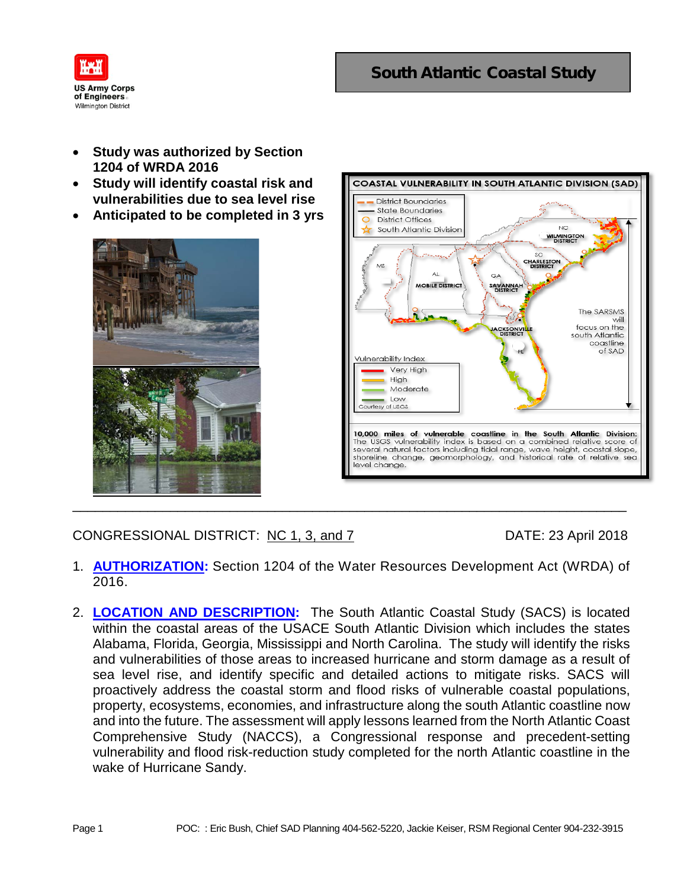

- **Study was authorized by Section 1204 of WRDA 2016**
- **Study will identify coastal risk and vulnerabilities due to sea level rise**
- **Anticipated to be completed in 3 yrs**





CONGRESSIONAL DISTRICT: NC 1, 3, and 7 DATE: 23 April 2018

- 1. **AUTHORIZATION:** Section 1204 of the Water Resources Development Act (WRDA) of 2016.
- 2. **LOCATION AND DESCRIPTION:** The South Atlantic Coastal Study (SACS) is located within the coastal areas of the USACE South Atlantic Division which includes the states Alabama, Florida, Georgia, Mississippi and North Carolina. The study will identify the risks and vulnerabilities of those areas to increased hurricane and storm damage as a result of sea level rise, and identify specific and detailed actions to mitigate risks. SACS will proactively address the coastal storm and flood risks of vulnerable coastal populations, property, ecosystems, economies, and infrastructure along the south Atlantic coastline now and into the future. The assessment will apply lessons learned from the North Atlantic Coast Comprehensive Study (NACCS), a Congressional response and precedent-setting vulnerability and flood risk-reduction study completed for the north Atlantic coastline in the wake of Hurricane Sandy.